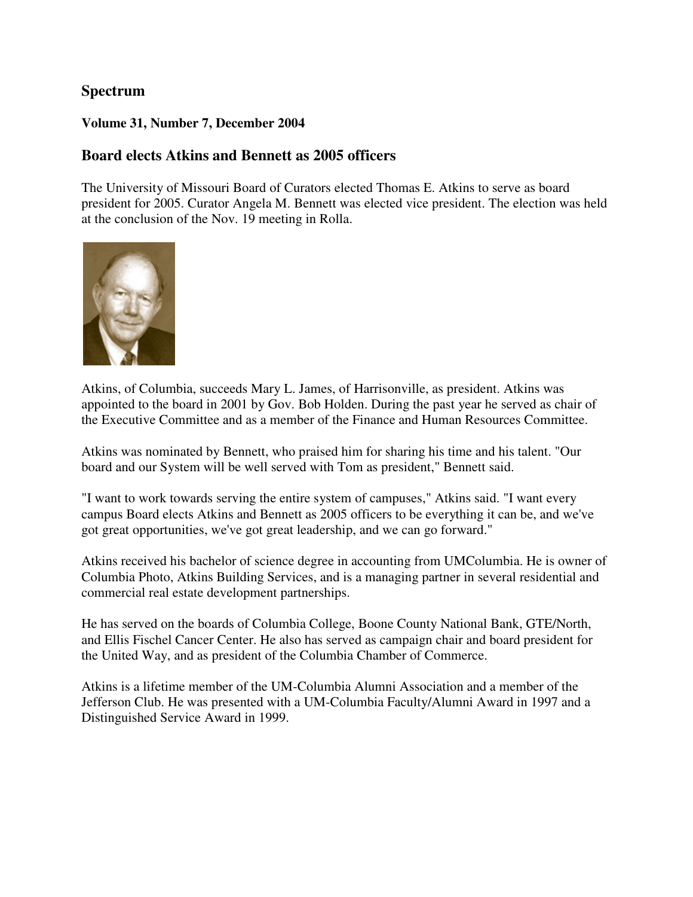# **Spectrum**

### **Volume 31, Number 7, December 2004**

### **Board elects Atkins and Bennett as 2005 officers**

The University of Missouri Board of Curators elected Thomas E. Atkins to serve as board president for 2005. Curator Angela M. Bennett was elected vice president. The election was held at the conclusion of the Nov. 19 meeting in Rolla.



Atkins, of Columbia, succeeds Mary L. James, of Harrisonville, as president. Atkins was appointed to the board in 2001 by Gov. Bob Holden. During the past year he served as chair of the Executive Committee and as a member of the Finance and Human Resources Committee.

Atkins was nominated by Bennett, who praised him for sharing his time and his talent. "Our board and our System will be well served with Tom as president," Bennett said.

"I want to work towards serving the entire system of campuses," Atkins said. "I want every campus Board elects Atkins and Bennett as 2005 officers to be everything it can be, and we've got great opportunities, we've got great leadership, and we can go forward."

Atkins received his bachelor of science degree in accounting from UMColumbia. He is owner of Columbia Photo, Atkins Building Services, and is a managing partner in several residential and commercial real estate development partnerships.

He has served on the boards of Columbia College, Boone County National Bank, GTE/North, and Ellis Fischel Cancer Center. He also has served as campaign chair and board president for the United Way, and as president of the Columbia Chamber of Commerce.

Atkins is a lifetime member of the UM-Columbia Alumni Association and a member of the Jefferson Club. He was presented with a UM-Columbia Faculty/Alumni Award in 1997 and a Distinguished Service Award in 1999.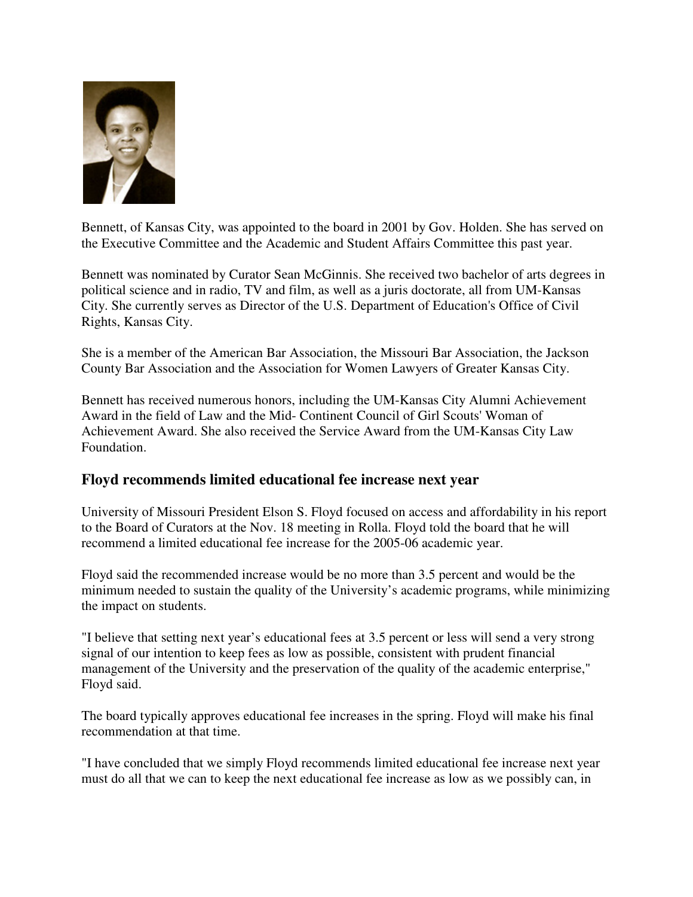

Bennett, of Kansas City, was appointed to the board in 2001 by Gov. Holden. She has served on the Executive Committee and the Academic and Student Affairs Committee this past year.

Bennett was nominated by Curator Sean McGinnis. She received two bachelor of arts degrees in political science and in radio, TV and film, as well as a juris doctorate, all from UM-Kansas City. She currently serves as Director of the U.S. Department of Education's Office of Civil Rights, Kansas City.

She is a member of the American Bar Association, the Missouri Bar Association, the Jackson County Bar Association and the Association for Women Lawyers of Greater Kansas City.

Bennett has received numerous honors, including the UM-Kansas City Alumni Achievement Award in the field of Law and the Mid- Continent Council of Girl Scouts' Woman of Achievement Award. She also received the Service Award from the UM-Kansas City Law Foundation.

# **Floyd recommends limited educational fee increase next year**

University of Missouri President Elson S. Floyd focused on access and affordability in his report to the Board of Curators at the Nov. 18 meeting in Rolla. Floyd told the board that he will recommend a limited educational fee increase for the 2005-06 academic year.

Floyd said the recommended increase would be no more than 3.5 percent and would be the minimum needed to sustain the quality of the University's academic programs, while minimizing the impact on students.

"I believe that setting next year's educational fees at 3.5 percent or less will send a very strong signal of our intention to keep fees as low as possible, consistent with prudent financial management of the University and the preservation of the quality of the academic enterprise," Floyd said.

The board typically approves educational fee increases in the spring. Floyd will make his final recommendation at that time.

"I have concluded that we simply Floyd recommends limited educational fee increase next year must do all that we can to keep the next educational fee increase as low as we possibly can, in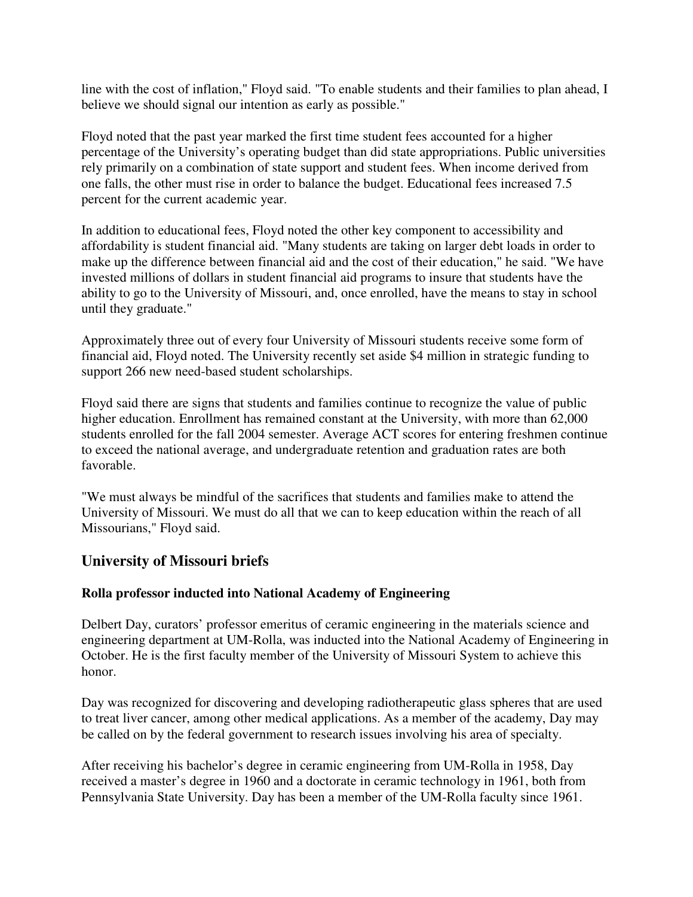line with the cost of inflation," Floyd said. "To enable students and their families to plan ahead, I believe we should signal our intention as early as possible."

Floyd noted that the past year marked the first time student fees accounted for a higher percentage of the University's operating budget than did state appropriations. Public universities rely primarily on a combination of state support and student fees. When income derived from one falls, the other must rise in order to balance the budget. Educational fees increased 7.5 percent for the current academic year.

In addition to educational fees, Floyd noted the other key component to accessibility and affordability is student financial aid. "Many students are taking on larger debt loads in order to make up the difference between financial aid and the cost of their education," he said. "We have invested millions of dollars in student financial aid programs to insure that students have the ability to go to the University of Missouri, and, once enrolled, have the means to stay in school until they graduate."

Approximately three out of every four University of Missouri students receive some form of financial aid, Floyd noted. The University recently set aside \$4 million in strategic funding to support 266 new need-based student scholarships.

Floyd said there are signs that students and families continue to recognize the value of public higher education. Enrollment has remained constant at the University, with more than 62,000 students enrolled for the fall 2004 semester. Average ACT scores for entering freshmen continue to exceed the national average, and undergraduate retention and graduation rates are both favorable.

"We must always be mindful of the sacrifices that students and families make to attend the University of Missouri. We must do all that we can to keep education within the reach of all Missourians," Floyd said.

# **University of Missouri briefs**

### **Rolla professor inducted into National Academy of Engineering**

Delbert Day, curators' professor emeritus of ceramic engineering in the materials science and engineering department at UM-Rolla, was inducted into the National Academy of Engineering in October. He is the first faculty member of the University of Missouri System to achieve this honor.

Day was recognized for discovering and developing radiotherapeutic glass spheres that are used to treat liver cancer, among other medical applications. As a member of the academy, Day may be called on by the federal government to research issues involving his area of specialty.

After receiving his bachelor's degree in ceramic engineering from UM-Rolla in 1958, Day received a master's degree in 1960 and a doctorate in ceramic technology in 1961, both from Pennsylvania State University. Day has been a member of the UM-Rolla faculty since 1961.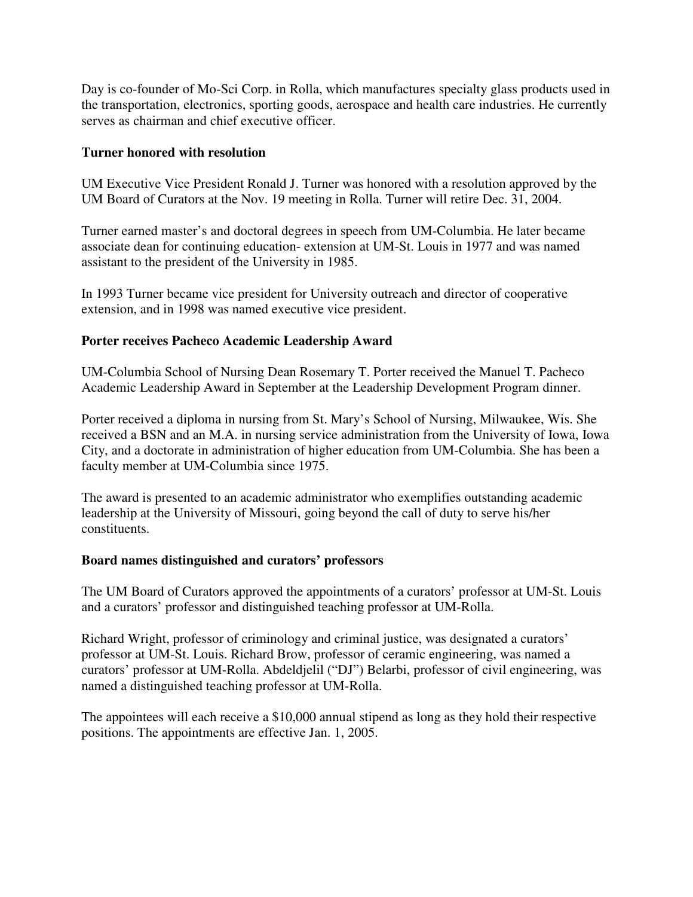Day is co-founder of Mo-Sci Corp. in Rolla, which manufactures specialty glass products used in the transportation, electronics, sporting goods, aerospace and health care industries. He currently serves as chairman and chief executive officer.

### **Turner honored with resolution**

UM Executive Vice President Ronald J. Turner was honored with a resolution approved by the UM Board of Curators at the Nov. 19 meeting in Rolla. Turner will retire Dec. 31, 2004.

Turner earned master's and doctoral degrees in speech from UM-Columbia. He later became associate dean for continuing education- extension at UM-St. Louis in 1977 and was named assistant to the president of the University in 1985.

In 1993 Turner became vice president for University outreach and director of cooperative extension, and in 1998 was named executive vice president.

#### **Porter receives Pacheco Academic Leadership Award**

UM-Columbia School of Nursing Dean Rosemary T. Porter received the Manuel T. Pacheco Academic Leadership Award in September at the Leadership Development Program dinner.

Porter received a diploma in nursing from St. Mary's School of Nursing, Milwaukee, Wis. She received a BSN and an M.A. in nursing service administration from the University of Iowa, Iowa City, and a doctorate in administration of higher education from UM-Columbia. She has been a faculty member at UM-Columbia since 1975.

The award is presented to an academic administrator who exemplifies outstanding academic leadership at the University of Missouri, going beyond the call of duty to serve his/her constituents.

#### **Board names distinguished and curators' professors**

The UM Board of Curators approved the appointments of a curators' professor at UM-St. Louis and a curators' professor and distinguished teaching professor at UM-Rolla.

Richard Wright, professor of criminology and criminal justice, was designated a curators' professor at UM-St. Louis. Richard Brow, professor of ceramic engineering, was named a curators' professor at UM-Rolla. Abdeldjelil ("DJ") Belarbi, professor of civil engineering, was named a distinguished teaching professor at UM-Rolla.

The appointees will each receive a \$10,000 annual stipend as long as they hold their respective positions. The appointments are effective Jan. 1, 2005.